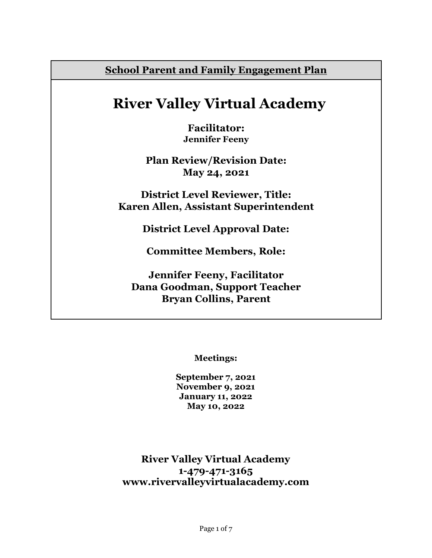**School Parent and Family Engagement Plan**

# **River Valley Virtual Academy**

**Facilitator: Jennifer Feeny**

**Plan Review/Revision Date: May 24, 2021**

**District Level Reviewer, Title: Karen Allen, Assistant Superintendent**

**District Level Approval Date:**

**Committee Members, Role:**

**Jennifer Feeny, Facilitator Dana Goodman, Support Teacher Bryan Collins, Parent**

**Meetings:**

**September 7, 2021 November 9, 2021 January 11, 2022 May 10, 2022**

**River Valley Virtual Academy 1-479-471-3165 www.rivervalleyvirtualacademy.com**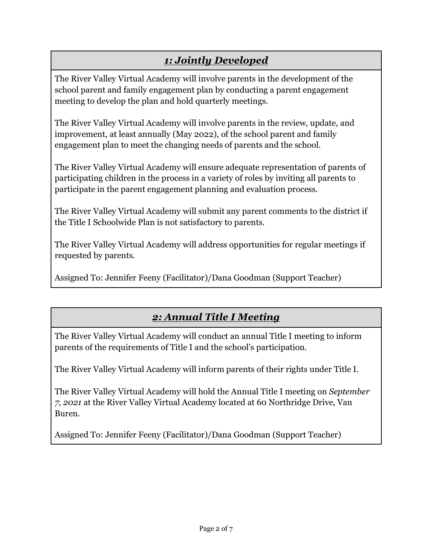## *1: Jointly Developed*

The River Valley Virtual Academy will involve parents in the development of the school parent and family engagement plan by conducting a parent engagement meeting to develop the plan and hold quarterly meetings.

The River Valley Virtual Academy will involve parents in the review, update, and improvement, at least annually (May 2022), of the school parent and family engagement plan to meet the changing needs of parents and the school.

The River Valley Virtual Academy will ensure adequate representation of parents of participating children in the process in a variety of roles by inviting all parents to participate in the parent engagement planning and evaluation process.

The River Valley Virtual Academy will submit any parent comments to the district if the Title I Schoolwide Plan is not satisfactory to parents.

The River Valley Virtual Academy will address opportunities for regular meetings if requested by parents.

Assigned To: Jennifer Feeny (Facilitator)/Dana Goodman (Support Teacher)

### *2: Annual Title I Meeting*

The River Valley Virtual Academy will conduct an annual Title I meeting to inform parents of the requirements of Title I and the school's participation.

The River Valley Virtual Academy will inform parents of their rights under Title I.

The River Valley Virtual Academy will hold the Annual Title I meeting on *September 7, 2021* at the River Valley Virtual Academy located at 60 Northridge Drive, Van Buren.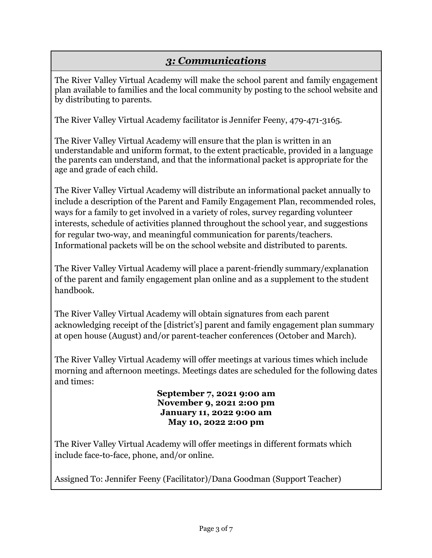#### *3: Communications*

The River Valley Virtual Academy will make the school parent and family engagement plan available to families and the local community by posting to the school website and by distributing to parents.

The River Valley Virtual Academy facilitator is Jennifer Feeny, 479-471-3165.

The River Valley Virtual Academy will ensure that the plan is written in an understandable and uniform format, to the extent practicable, provided in a language the parents can understand, and that the informational packet is appropriate for the age and grade of each child.

The River Valley Virtual Academy will distribute an informational packet annually to include a description of the Parent and Family Engagement Plan, recommended roles, ways for a family to get involved in a variety of roles, survey regarding volunteer interests, schedule of activities planned throughout the school year, and suggestions for regular two-way, and meaningful communication for parents/teachers. Informational packets will be on the school website and distributed to parents.

The River Valley Virtual Academy will place a parent-friendly summary/explanation of the parent and family engagement plan online and as a supplement to the student handbook.

The River Valley Virtual Academy will obtain signatures from each parent acknowledging receipt of the [district's] parent and family engagement plan summary at open house (August) and/or parent-teacher conferences (October and March).

The River Valley Virtual Academy will offer meetings at various times which include morning and afternoon meetings. Meetings dates are scheduled for the following dates and times:

> **September 7, 2021 9:00 am November 9, 2021 2:00 pm January 11, 2022 9:00 am May 10, 2022 2:00 pm**

The River Valley Virtual Academy will offer meetings in different formats which include face-to-face, phone, and/or online.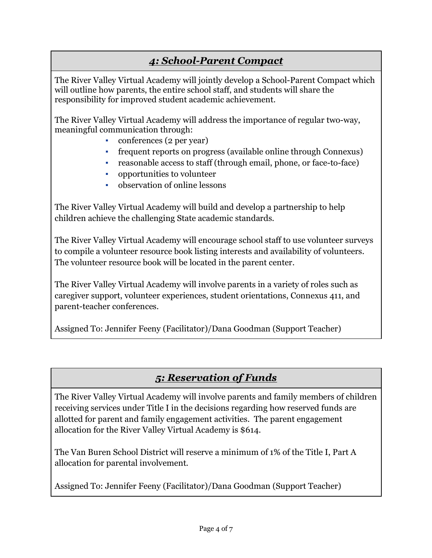### *4: School-Parent Compact*

The River Valley Virtual Academy will jointly develop a School-Parent Compact which will outline how parents, the entire school staff, and students will share the responsibility for improved student academic achievement.

The River Valley Virtual Academy will address the importance of regular two-way, meaningful communication through:

- conferences (2 per year)
- frequent reports on progress (available online through Connexus)
- reasonable access to staff (through email, phone, or face-to-face)
- opportunities to volunteer
- observation of online lessons

The River Valley Virtual Academy will build and develop a partnership to help children achieve the challenging State academic standards.

The River Valley Virtual Academy will encourage school staff to use volunteer surveys to compile a volunteer resource book listing interests and availability of volunteers. The volunteer resource book will be located in the parent center.

The River Valley Virtual Academy will involve parents in a variety of roles such as caregiver support, volunteer experiences, student orientations, Connexus 411, and parent-teacher conferences.

Assigned To: Jennifer Feeny (Facilitator)/Dana Goodman (Support Teacher)

#### *5: Reservation of Funds*

The River Valley Virtual Academy will involve parents and family members of children receiving services under Title I in the decisions regarding how reserved funds are allotted for parent and family engagement activities. The parent engagement allocation for the River Valley Virtual Academy is \$614.

The Van Buren School District will reserve a minimum of 1% of the Title I, Part A allocation for parental involvement.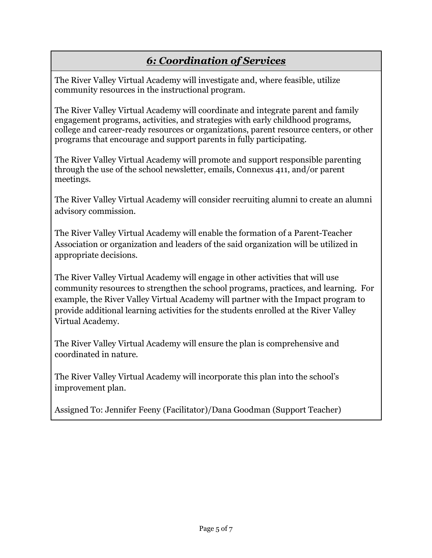### *6: Coordination of Services*

The River Valley Virtual Academy will investigate and, where feasible, utilize community resources in the instructional program.

The River Valley Virtual Academy will coordinate and integrate parent and family engagement programs, activities, and strategies with early childhood programs*,* college and career-ready resources or organizations, parent resource centers, or other programs that encourage and support parents in fully participating.

The River Valley Virtual Academy will promote and support responsible parenting through the use of the school newsletter, emails, Connexus 411, and/or parent meetings.

The River Valley Virtual Academy will consider recruiting alumni to create an alumni advisory commission.

The River Valley Virtual Academy will enable the formation of a Parent-Teacher Association or organization and leaders of the said organization will be utilized in appropriate decisions.

The River Valley Virtual Academy will engage in other activities that will use community resources to strengthen the school programs, practices, and learning. For example, the River Valley Virtual Academy will partner with the Impact program to provide additional learning activities for the students enrolled at the River Valley Virtual Academy.

The River Valley Virtual Academy will ensure the plan is comprehensive and coordinated in nature.

The River Valley Virtual Academy will incorporate this plan into the school's improvement plan.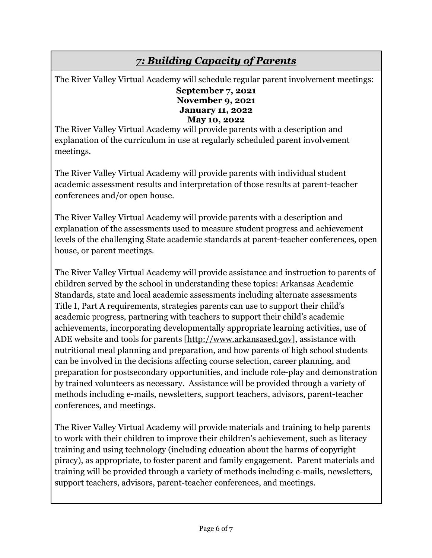### *7: Building Capacity of Parents*

The River Valley Virtual Academy will schedule regular parent involvement meetings:

#### **September 7, 2021 November 9, 2021 January 11, 2022 May 10, 2022**

The River Valley Virtual Academy will provide parents with a description and explanation of the curriculum in use at regularly scheduled parent involvement meetings.

The River Valley Virtual Academy will provide parents with individual student academic assessment results and interpretation of those results at parent-teacher conferences and/or open house.

The River Valley Virtual Academy will provide parents with a description and explanation of the assessments used to measure student progress and achievement levels of the challenging State academic standards at parent-teacher conferences, open house, or parent meetings.

The River Valley Virtual Academy will provide assistance and instruction to parents of children served by the school in understanding these topics: Arkansas Academic Standards, state and local academic assessments including alternate assessments Title I, Part A requirements, strategies parents can use to support their child's academic progress, partnering with teachers to support their child's academic achievements, incorporating developmentally appropriate learning activities, use of ADE website and tools for parents [http://www.arkansased.gov], assistance with nutritional meal planning and preparation, and how parents of high school students can be involved in the decisions affecting course selection, career planning, and preparation for postsecondary opportunities, and include role-play and demonstration by trained volunteers as necessary. Assistance will be provided through a variety of methods including e-mails, newsletters, support teachers, advisors, parent-teacher conferences, and meetings.

The River Valley Virtual Academy will provide materials and training to help parents to work with their children to improve their children's achievement, such as literacy training and using technology (including education about the harms of copyright piracy), as appropriate, to foster parent and family engagement. Parent materials and training will be provided through a variety of methods including e-mails, newsletters, support teachers, advisors, parent-teacher conferences, and meetings.